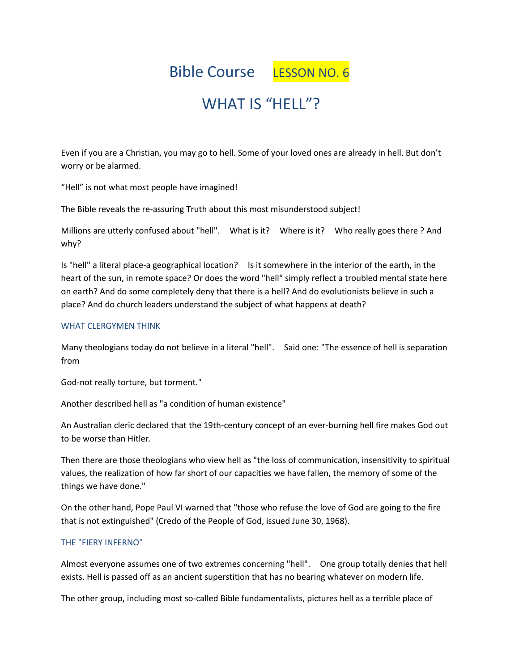Bible Course LESSON NO. 6

# WHAT IS "HELL"?

Even if you are a Christian, you may go to hell. Some of your loved ones are already in hell. But don't worry or be alarmed.

"Hell" is not what most people have imagined!

The Bible reveals the re-assuring Truth about this most misunderstood subject!

Millions are utterly confused about "hell". What is it? Where is it? Who really goes there ? And why?

Is "hell" a literal place-a geographical location? Is it somewhere in the interior of the earth, in the heart of the sun, in remote space? Or does the word "hell" simply reflect a troubled mental state here on earth? And do some completely deny that there is a hell? And do evolutionists believe in such a place? And do church leaders understand the subject of what happens at death?

#### WHAT CLERGYMEN THINK

Many theologians today do not believe in a literal "hell". Said one: "The essence of hell is separation from

God-not really torture, but torment."

Another described hell as "a condition of human existence"

An Australian cleric declared that the 19th-century concept of an ever-burning hell fire makes God out to be worse than Hitler.

Then there are those theologians who view hell as "the loss of communication, insensitivity to spiritual values, the realization of how far short of our capacities we have fallen, the memory of some of the things we have done."

On the other hand, Pope Paul VI warned that "those who refuse the love of God are going to the fire that is not extinguished" (Credo of the People of God, issued June 30, 1968).

#### THE "FIERY INFERNO"

Almost everyone assumes one of two extremes concerning "hell". One group totally denies that hell exists. Hell is passed off as an ancient superstition that has no bearing whatever on modern life.

The other group, including most so-called Bible fundamentalists, pictures hell as a terrible place of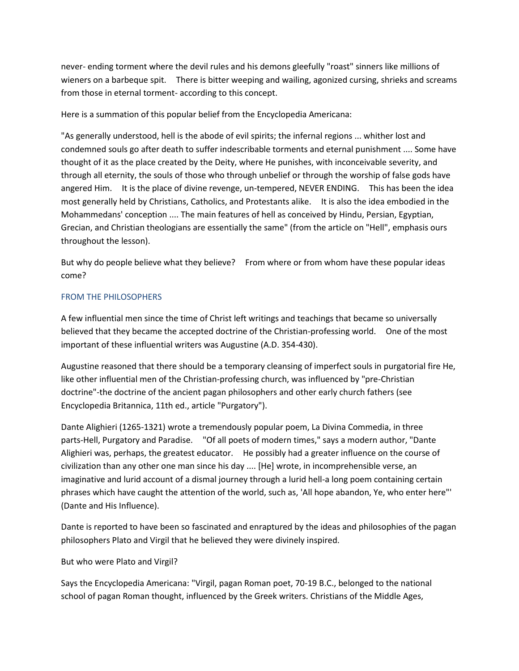never- ending torment where the devil rules and his demons gleefully "roast" sinners like millions of wieners on a barbeque spit. There is bitter weeping and wailing, agonized cursing, shrieks and screams from those in eternal torment- according to this concept.

Here is a summation of this popular belief from the Encyclopedia Americana:

"As generally understood, hell is the abode of evil spirits; the infernal regions ... whither lost and condemned souls go after death to suffer indescribable torments and eternal punishment .... Some have thought of it as the place created by the Deity, where He punishes, with inconceivable severity, and through all eternity, the souls of those who through unbelief or through the worship of false gods have angered Him. It is the place of divine revenge, un-tempered, NEVER ENDING. This has been the idea most generally held by Christians, Catholics, and Protestants alike. It is also the idea embodied in the Mohammedans' conception .... The main features of hell as conceived by Hindu, Persian, Egyptian, Grecian, and Christian theologians are essentially the same" (from the article on "Hell", emphasis ours throughout the lesson).

But why do people believe what they believe? From where or from whom have these popular ideas come?

## FROM THE PHILOSOPHERS

A few influential men since the time of Christ left writings and teachings that became so universally believed that they became the accepted doctrine of the Christian-professing world. One of the most important of these influential writers was Augustine (A.D. 354-430).

Augustine reasoned that there should be a temporary cleansing of imperfect souls in purgatorial fire He, like other influential men of the Christian-professing church, was influenced by "pre-Christian doctrine"-the doctrine of the ancient pagan philosophers and other early church fathers (see Encyclopedia Britannica, 11th ed., article "Purgatory").

Dante Alighieri (1265-1321) wrote a tremendously popular poem, La Divina Commedia, in three parts-Hell, Purgatory and Paradise. "Of all poets of modern times," says a modern author, "Dante Alighieri was, perhaps, the greatest educator. He possibly had a greater influence on the course of civilization than any other one man since his day .... [He] wrote, in incomprehensible verse, an imaginative and lurid account of a dismal journey through a lurid hell-a long poem containing certain phrases which have caught the attention of the world, such as, 'All hope abandon, Ye, who enter here"' (Dante and His Influence).

Dante is reported to have been so fascinated and enraptured by the ideas and philosophies of the pagan philosophers Plato and Virgil that he believed they were divinely inspired.

# But who were Plato and Virgil?

Says the Encyclopedia Americana: "Virgil, pagan Roman poet, 70-19 B.C., belonged to the national school of pagan Roman thought, influenced by the Greek writers. Christians of the Middle Ages,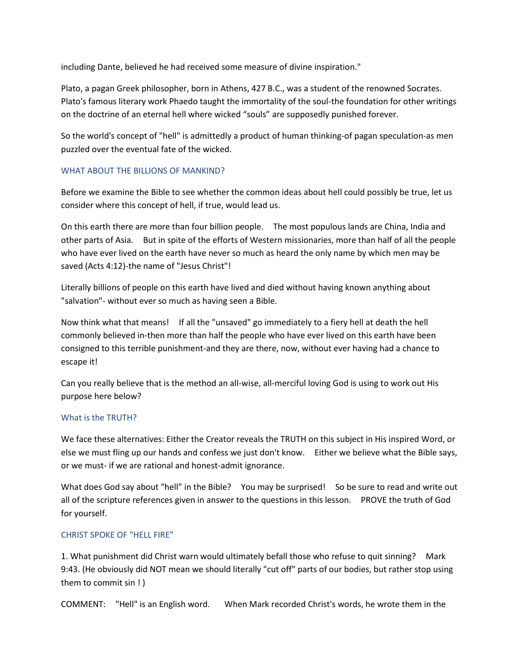including Dante, believed he had received some measure of divine inspiration."

Plato, a pagan Greek philosopher, born in Athens, 427 B.C., was a student of the renowned Socrates. Plato's famous literary work Phaedo taught the immortality of the soul-the foundation for other writings on the doctrine of an eternal hell where wicked "souls" are supposedly punished forever.

So the world's concept of "hell" is admittedly a product of human thinking-of pagan speculation-as men puzzled over the eventual fate of the wicked.

#### WHAT ABOUT THE BILLIONS OF MANKIND?

Before we examine the Bible to see whether the common ideas about hell could possibly be true, let us consider where this concept of hell, if true, would lead us.

On this earth there are more than four billion people. The most populous lands are China, India and other parts of Asia. But in spite of the efforts of Western missionaries, more than half of all the people who have ever lived on the earth have never so much as heard the only name by which men may be saved (Acts 4:12)-the name of "Jesus Christ"!

Literally billions of people on this earth have lived and died without having known anything about "salvation"- without ever so much as having seen a Bible.

Now think what that means! If all the "unsaved" go immediately to a fiery hell at death the hell commonly believed in-then more than half the people who have ever lived on this earth have been consigned to this terrible punishment-and they are there, now, without ever having had a chance to escape it!

Can you really believe that is the method an all-wise, all-merciful loving God is using to work out His purpose here below?

#### What is the TRUTH?

We face these alternatives: Either the Creator reveals the TRUTH on this subject in His inspired Word, or else we must fling up our hands and confess we just don't know. Either we believe what the Bible says, or we must- if we are rational and honest-admit ignorance.

What does God say about "hell" in the Bible? You may be surprised! So be sure to read and write out all of the scripture references given in answer to the questions in this lesson. PROVE the truth of God for yourself.

#### CHRIST SPOKE OF "HELL FIRE"

1. What punishment did Christ warn would ultimately befall those who refuse to quit sinning? Mark 9:43. (He obviously did NOT mean we should literally "cut off" parts of our bodies, but rather stop using them to commit sin ! )

COMMENT: "Hell" is an English word. When Mark recorded Christ's words, he wrote them in the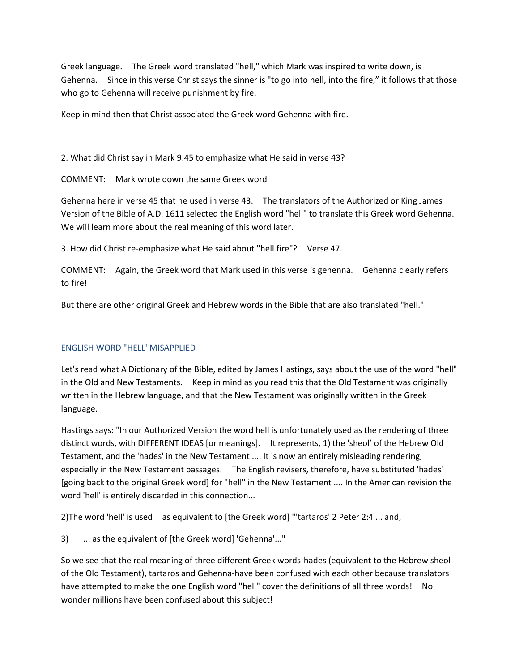Greek language. The Greek word translated "hell," which Mark was inspired to write down, is Gehenna. Since in this verse Christ says the sinner is "to go into hell, into the fire," it follows that those who go to Gehenna will receive punishment by fire.

Keep in mind then that Christ associated the Greek word Gehenna with fire.

2. What did Christ say in Mark 9:45 to emphasize what He said in verse 43?

COMMENT: Mark wrote down the same Greek word

Gehenna here in verse 45 that he used in verse 43. The translators of the Authorized or King James Version of the Bible of A.D. 1611 selected the English word "hell" to translate this Greek word Gehenna. We will learn more about the real meaning of this word later.

3. How did Christ re-emphasize what He said about "hell fire"? Verse 47.

COMMENT: Again, the Greek word that Mark used in this verse is gehenna. Gehenna clearly refers to fire!

But there are other original Greek and Hebrew words in the Bible that are also translated "hell."

#### ENGLISH WORD "HELL' MISAPPLIED

Let's read what A Dictionary of the Bible, edited by James Hastings, says about the use of the word "hell" in the Old and New Testaments. Keep in mind as you read this that the Old Testament was originally written in the Hebrew language, and that the New Testament was originally written in the Greek language.

Hastings says: "In our Authorized Version the word hell is unfortunately used as the rendering of three distinct words, with DIFFERENT IDEAS [or meanings]. It represents, 1) the 'sheol' of the Hebrew Old Testament, and the 'hades' in the New Testament .... It is now an entirely misleading rendering, especially in the New Testament passages. The English revisers, therefore, have substituted 'hades' [going back to the original Greek word] for "hell" in the New Testament .... In the American revision the word 'hell' is entirely discarded in this connection...

2)The word 'hell' is used as equivalent to [the Greek word] "'tartaros' 2 Peter 2:4 ... and,

3) ... as the equivalent of [the Greek word] 'Gehenna'..."

So we see that the real meaning of three different Greek words-hades (equivalent to the Hebrew sheol of the Old Testament), tartaros and Gehenna-have been confused with each other because translators have attempted to make the one English word "hell" cover the definitions of all three words! No wonder millions have been confused about this subject!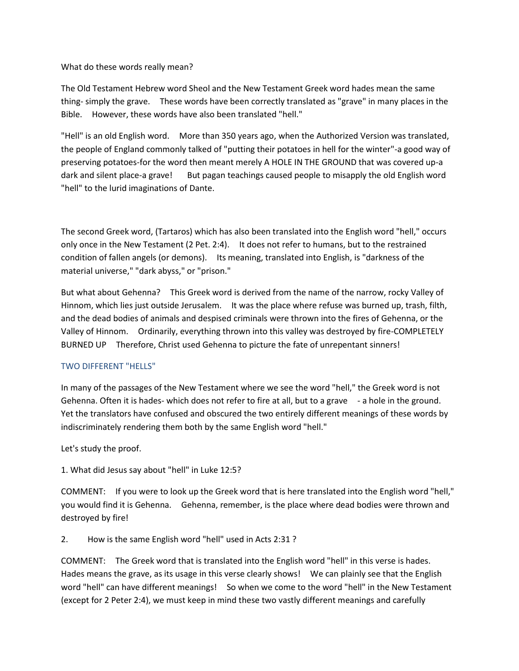What do these words really mean?

The Old Testament Hebrew word Sheol and the New Testament Greek word hades mean the same thing- simply the grave. These words have been correctly translated as "grave" in many places in the Bible. However, these words have also been translated "hell."

"Hell" is an old English word. More than 350 years ago, when the Authorized Version was translated, the people of England commonly talked of "putting their potatoes in hell for the winter"-a good way of preserving potatoes-for the word then meant merely A HOLE IN THE GROUND that was covered up-a dark and silent place-a grave! But pagan teachings caused people to misapply the old English word "hell" to the lurid imaginations of Dante.

The second Greek word, (Tartaros) which has also been translated into the English word "hell," occurs only once in the New Testament (2 Pet. 2:4). It does not refer to humans, but to the restrained condition of fallen angels (or demons). Its meaning, translated into English, is "darkness of the material universe," "dark abyss," or "prison."

But what about Gehenna? This Greek word is derived from the name of the narrow, rocky Valley of Hinnom, which lies just outside Jerusalem. It was the place where refuse was burned up, trash, filth, and the dead bodies of animals and despised criminals were thrown into the fires of Gehenna, or the Valley of Hinnom. Ordinarily, everything thrown into this valley was destroyed by fire-COMPLETELY BURNED UP Therefore, Christ used Gehenna to picture the fate of unrepentant sinners!

#### TWO DIFFERENT "HELLS"

In many of the passages of the New Testament where we see the word "hell," the Greek word is not Gehenna. Often it is hades- which does not refer to fire at all, but to a grave - a hole in the ground. Yet the translators have confused and obscured the two entirely different meanings of these words by indiscriminately rendering them both by the same English word "hell."

Let's study the proof.

1. What did Jesus say about "hell" in Luke 12:5?

COMMENT: If you were to look up the Greek word that is here translated into the English word "hell," you would find it is Gehenna. Gehenna, remember, is the place where dead bodies were thrown and destroyed by fire!

2. How is the same English word "hell" used in Acts 2:31 ?

COMMENT: The Greek word that is translated into the English word "hell" in this verse is hades. Hades means the grave, as its usage in this verse clearly shows! We can plainly see that the English word "hell" can have different meanings! So when we come to the word "hell" in the New Testament (except for 2 Peter 2:4), we must keep in mind these two vastly different meanings and carefully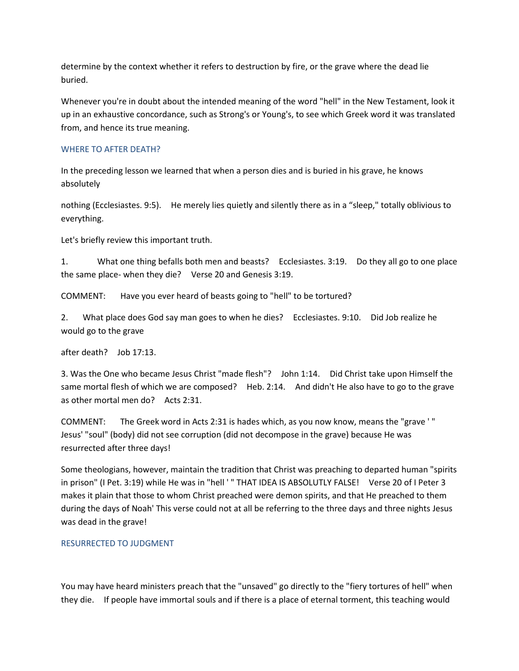determine by the context whether it refers to destruction by fire, or the grave where the dead lie buried.

Whenever you're in doubt about the intended meaning of the word "hell" in the New Testament, look it up in an exhaustive concordance, such as Strong's or Young's, to see which Greek word it was translated from, and hence its true meaning.

#### WHERE TO AFTER DEATH?

In the preceding lesson we learned that when a person dies and is buried in his grave, he knows absolutely

nothing (Ecclesiastes. 9:5). He merely lies quietly and silently there as in a "sleep," totally oblivious to everything.

Let's briefly review this important truth.

1. What one thing befalls both men and beasts? Ecclesiastes. 3:19. Do they all go to one place the same place- when they die? Verse 20 and Genesis 3:19.

COMMENT: Have you ever heard of beasts going to "hell" to be tortured?

2. What place does God say man goes to when he dies? Ecclesiastes. 9:10. Did Job realize he would go to the grave

after death? Job 17:13.

3. Was the One who became Jesus Christ "made flesh"? John 1:14. Did Christ take upon Himself the same mortal flesh of which we are composed? Heb. 2:14. And didn't He also have to go to the grave as other mortal men do? Acts 2:31.

COMMENT: The Greek word in Acts 2:31 is hades which, as you now know, means the "grave ' " Jesus' "soul" (body) did not see corruption (did not decompose in the grave) because He was resurrected after three days!

Some theologians, however, maintain the tradition that Christ was preaching to departed human "spirits in prison" (I Pet. 3:19) while He was in "hell ' " THAT IDEA IS ABSOLUTLY FALSE! Verse 20 of I Peter 3 makes it plain that those to whom Christ preached were demon spirits, and that He preached to them during the days of Noah' This verse could not at all be referring to the three days and three nights Jesus was dead in the grave!

#### RESURRECTED TO JUDGMENT

You may have heard ministers preach that the "unsaved" go directly to the "fiery tortures of hell" when they die. If people have immortal souls and if there is a place of eternal torment, this teaching would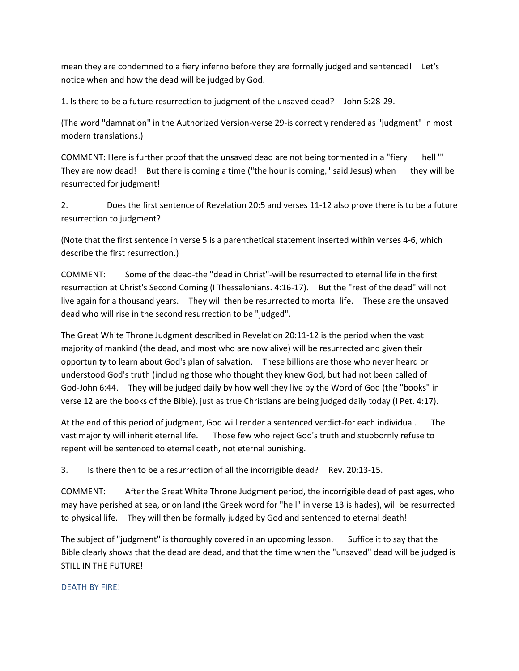mean they are condemned to a fiery inferno before they are formally judged and sentenced! Let's notice when and how the dead will be judged by God.

1. Is there to be a future resurrection to judgment of the unsaved dead? John 5:28-29.

(The word "damnation" in the Authorized Version-verse 29-is correctly rendered as "judgment" in most modern translations.)

COMMENT: Here is further proof that the unsaved dead are not being tormented in a "fiery hell '" They are now dead! But there is coming a time ("the hour is coming," said Jesus) when they will be resurrected for judgment!

2. Does the first sentence of Revelation 20:5 and verses 11-12 also prove there is to be a future resurrection to judgment?

(Note that the first sentence in verse 5 is a parenthetical statement inserted within verses 4-6, which describe the first resurrection.)

COMMENT: Some of the dead-the "dead in Christ"-will be resurrected to eternal life in the first resurrection at Christ's Second Coming (I Thessalonians. 4:16-17). But the "rest of the dead" will not live again for a thousand years. They will then be resurrected to mortal life. These are the unsaved dead who will rise in the second resurrection to be "judged".

The Great White Throne Judgment described in Revelation 20:11-12 is the period when the vast majority of mankind (the dead, and most who are now alive) will be resurrected and given their opportunity to learn about God's plan of salvation. These billions are those who never heard or understood God's truth (including those who thought they knew God, but had not been called of God-John 6:44. They will be judged daily by how well they live by the Word of God (the "books" in verse 12 are the books of the Bible), just as true Christians are being judged daily today (I Pet. 4:17).

At the end of this period of judgment, God will render a sentenced verdict-for each individual. The vast majority will inherit eternal life. Those few who reject God's truth and stubbornly refuse to repent will be sentenced to eternal death, not eternal punishing.

3. Is there then to be a resurrection of all the incorrigible dead? Rev. 20:13-15.

COMMENT: After the Great White Throne Judgment period, the incorrigible dead of past ages, who may have perished at sea, or on land (the Greek word for "hell" in verse 13 is hades), will be resurrected to physical life. They will then be formally judged by God and sentenced to eternal death!

The subject of "judgment" is thoroughly covered in an upcoming lesson. Suffice it to say that the Bible clearly shows that the dead are dead, and that the time when the "unsaved" dead will be judged is STILL IN THE FUTURE!

#### DEATH BY FIRE!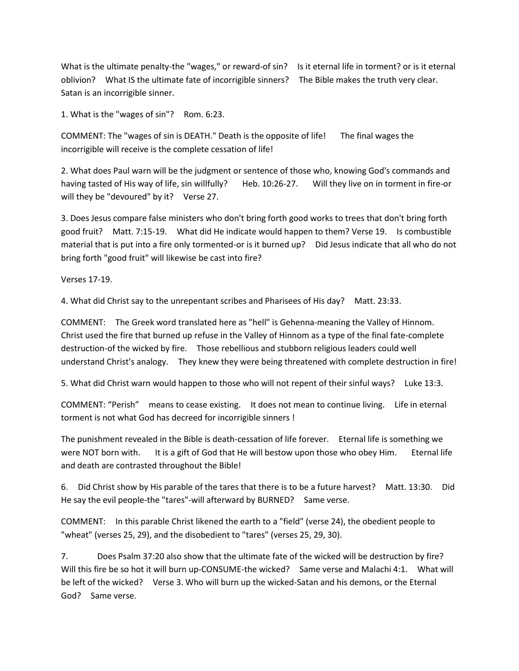What is the ultimate penalty-the "wages," or reward-of sin? Is it eternal life in torment? or is it eternal oblivion? What IS the ultimate fate of incorrigible sinners? The Bible makes the truth very clear. Satan is an incorrigible sinner.

1. What is the "wages of sin"? Rom. 6:23.

COMMENT: The "wages of sin is DEATH." Death is the opposite of life! The final wages the incorrigible will receive is the complete cessation of life!

2. What does Paul warn will be the judgment or sentence of those who, knowing God's commands and having tasted of His way of life, sin willfully? Heb. 10:26-27. Will they live on in torment in fire-or will they be "devoured" by it? Verse 27.

3. Does Jesus compare false ministers who don't bring forth good works to trees that don't bring forth good fruit? Matt. 7:15-19. What did He indicate would happen to them? Verse 19. Is combustible material that is put into a fire only tormented-or is it burned up? Did Jesus indicate that all who do not bring forth "good fruit" will likewise be cast into fire?

Verses 17-19.

4. What did Christ say to the unrepentant scribes and Pharisees of His day? Matt. 23:33.

COMMENT: The Greek word translated here as "hell" is Gehenna-meaning the Valley of Hinnom. Christ used the fire that burned up refuse in the Valley of Hinnom as a type of the final fate-complete destruction-of the wicked by fire. Those rebellious and stubborn religious leaders could well understand Christ's analogy. They knew they were being threatened with complete destruction in fire!

5. What did Christ warn would happen to those who will not repent of their sinful ways? Luke 13:3.

COMMENT: "Perish" means to cease existing. It does not mean to continue living. Life in eternal torment is not what God has decreed for incorrigible sinners !

The punishment revealed in the Bible is death-cessation of life forever. Eternal life is something we were NOT born with. It is a gift of God that He will bestow upon those who obey Him. Eternal life and death are contrasted throughout the Bible!

6. Did Christ show by His parable of the tares that there is to be a future harvest? Matt. 13:30. Did He say the evil people-the "tares"-will afterward by BURNED? Same verse.

COMMENT: In this parable Christ likened the earth to a "field" (verse 24), the obedient people to "wheat" (verses 25, 29), and the disobedient to "tares" (verses 25, 29, 30).

7. Does Psalm 37:20 also show that the ultimate fate of the wicked will be destruction by fire? Will this fire be so hot it will burn up-CONSUME-the wicked? Same verse and Malachi 4:1. What will be left of the wicked? Verse 3. Who will burn up the wicked-Satan and his demons, or the Eternal God? Same verse.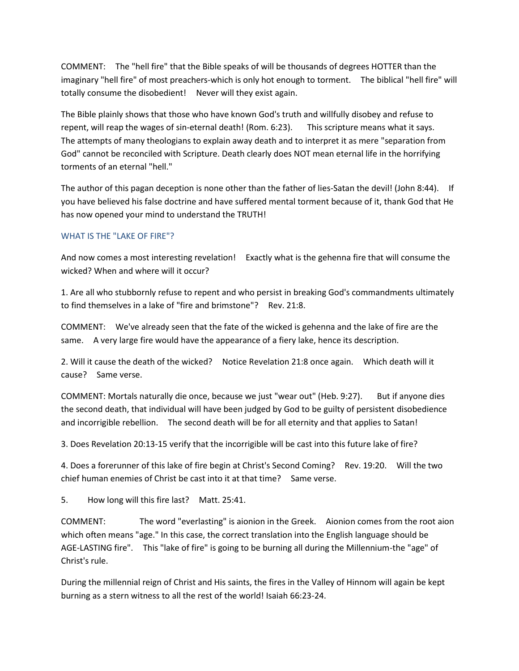COMMENT: The "hell fire" that the Bible speaks of will be thousands of degrees HOTTER than the imaginary "hell fire" of most preachers-which is only hot enough to torment. The biblical "hell fire" will totally consume the disobedient! Never will they exist again.

The Bible plainly shows that those who have known God's truth and willfully disobey and refuse to repent, will reap the wages of sin-eternal death! (Rom. 6:23). This scripture means what it says. The attempts of many theologians to explain away death and to interpret it as mere "separation from God" cannot be reconciled with Scripture. Death clearly does NOT mean eternal life in the horrifying torments of an eternal "hell."

The author of this pagan deception is none other than the father of lies-Satan the devil! (John 8:44). If you have believed his false doctrine and have suffered mental torment because of it, thank God that He has now opened your mind to understand the TRUTH!

## WHAT IS THE "LAKE OF FIRE"?

And now comes a most interesting revelation! Exactly what is the gehenna fire that will consume the wicked? When and where will it occur?

1. Are all who stubbornly refuse to repent and who persist in breaking God's commandments ultimately to find themselves in a lake of "fire and brimstone"? Rev. 21:8.

COMMENT: We've already seen that the fate of the wicked is gehenna and the lake of fire are the same. A very large fire would have the appearance of a fiery lake, hence its description.

2. Will it cause the death of the wicked? Notice Revelation 21:8 once again. Which death will it cause? Same verse.

COMMENT: Mortals naturally die once, because we just "wear out" (Heb. 9:27). But if anyone dies the second death, that individual will have been judged by God to be guilty of persistent disobedience and incorrigible rebellion. The second death will be for all eternity and that applies to Satan!

3. Does Revelation 20:13-15 verify that the incorrigible will be cast into this future lake of fire?

4. Does a forerunner of this lake of fire begin at Christ's Second Coming? Rev. 19:20. Will the two chief human enemies of Christ be cast into it at that time? Same verse.

5. How long will this fire last? Matt. 25:41.

COMMENT: The word "everlasting" is aionion in the Greek. Aionion comes from the root aion which often means "age." In this case, the correct translation into the English language should be AGE-LASTING fire". This "lake of fire" is going to be burning all during the Millennium-the "age" of Christ's rule.

During the millennial reign of Christ and His saints, the fires in the Valley of Hinnom will again be kept burning as a stern witness to all the rest of the world! Isaiah 66:23-24.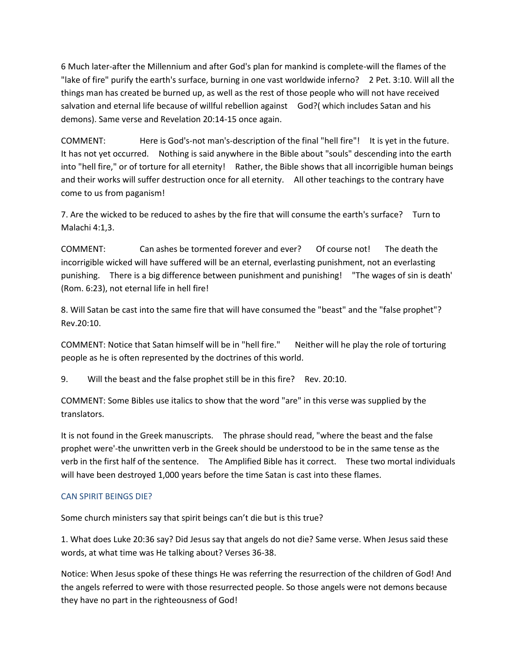6 Much later-after the Millennium and after God's plan for mankind is complete-will the flames of the "lake of fire" purify the earth's surface, burning in one vast worldwide inferno? 2 Pet. 3:10. Will all the things man has created be burned up, as well as the rest of those people who will not have received salvation and eternal life because of willful rebellion against God?( which includes Satan and his demons). Same verse and Revelation 20:14-15 once again.

COMMENT: Here is God's-not man's-description of the final "hell fire"! It is yet in the future. It has not yet occurred. Nothing is said anywhere in the Bible about "souls" descending into the earth into "hell fire," or of torture for all eternity! Rather, the Bible shows that all incorrigible human beings and their works will suffer destruction once for all eternity. All other teachings to the contrary have come to us from paganism!

7. Are the wicked to be reduced to ashes by the fire that will consume the earth's surface? Turn to Malachi 4:1,3.

COMMENT: Can ashes be tormented forever and ever? Of course not! The death the incorrigible wicked will have suffered will be an eternal, everlasting punishment, not an everlasting punishing. There is a big difference between punishment and punishing! "The wages of sin is death' (Rom. 6:23), not eternal life in hell fire!

8. Will Satan be cast into the same fire that will have consumed the "beast" and the "false prophet"? Rev.20:10.

COMMENT: Notice that Satan himself will be in "hell fire." Neither will he play the role of torturing people as he is often represented by the doctrines of this world.

9. Will the beast and the false prophet still be in this fire? Rev. 20:10.

COMMENT: Some Bibles use italics to show that the word "are" in this verse was supplied by the translators.

It is not found in the Greek manuscripts. The phrase should read, "where the beast and the false prophet were'-the unwritten verb in the Greek should be understood to be in the same tense as the verb in the first half of the sentence. The Amplified Bible has it correct. These two mortal individuals will have been destroyed 1,000 years before the time Satan is cast into these flames.

# CAN SPIRIT BEINGS DIE?

Some church ministers say that spirit beings can't die but is this true?

1. What does Luke 20:36 say? Did Jesus say that angels do not die? Same verse. When Jesus said these words, at what time was He talking about? Verses 36-38.

Notice: When Jesus spoke of these things He was referring the resurrection of the children of God! And the angels referred to were with those resurrected people. So those angels were not demons because they have no part in the righteousness of God!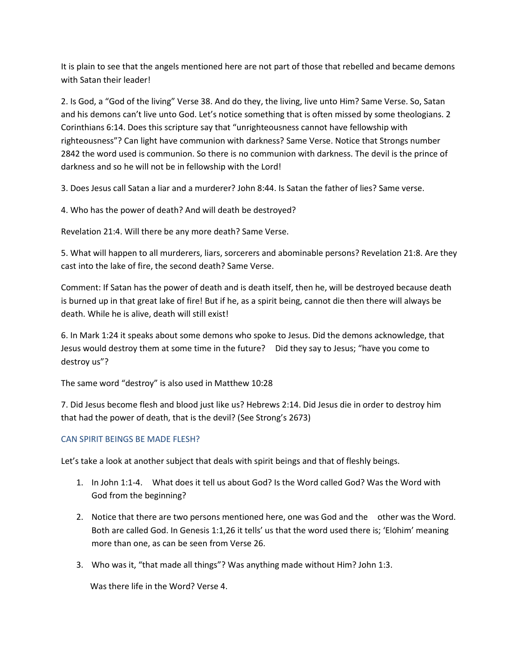It is plain to see that the angels mentioned here are not part of those that rebelled and became demons with Satan their leader!

2. Is God, a "God of the living" Verse 38. And do they, the living, live unto Him? Same Verse. So, Satan and his demons can't live unto God. Let's notice something that is often missed by some theologians. 2 Corinthians 6:14. Does this scripture say that "unrighteousness cannot have fellowship with righteousness"? Can light have communion with darkness? Same Verse. Notice that Strongs number 2842 the word used is communion. So there is no communion with darkness. The devil is the prince of darkness and so he will not be in fellowship with the Lord!

3. Does Jesus call Satan a liar and a murderer? John 8:44. Is Satan the father of lies? Same verse.

4. Who has the power of death? And will death be destroyed?

Revelation 21:4. Will there be any more death? Same Verse.

5. What will happen to all murderers, liars, sorcerers and abominable persons? Revelation 21:8. Are they cast into the lake of fire, the second death? Same Verse.

Comment: If Satan has the power of death and is death itself, then he, will be destroyed because death is burned up in that great lake of fire! But if he, as a spirit being, cannot die then there will always be death. While he is alive, death will still exist!

6. In Mark 1:24 it speaks about some demons who spoke to Jesus. Did the demons acknowledge, that Jesus would destroy them at some time in the future? Did they say to Jesus; "have you come to destroy us"?

The same word "destroy" is also used in Matthew 10:28

7. Did Jesus become flesh and blood just like us? Hebrews 2:14. Did Jesus die in order to destroy him that had the power of death, that is the devil? (See Strong's 2673)

# CAN SPIRIT BEINGS BE MADE FLESH?

Let's take a look at another subject that deals with spirit beings and that of fleshly beings.

- 1. In John 1:1-4. What does it tell us about God? Is the Word called God? Was the Word with God from the beginning?
- 2. Notice that there are two persons mentioned here, one was God and the other was the Word. Both are called God. In Genesis 1:1,26 it tells' us that the word used there is; 'Elohim' meaning more than one, as can be seen from Verse 26.
- 3. Who was it, "that made all things"? Was anything made without Him? John 1:3.

Was there life in the Word? Verse 4.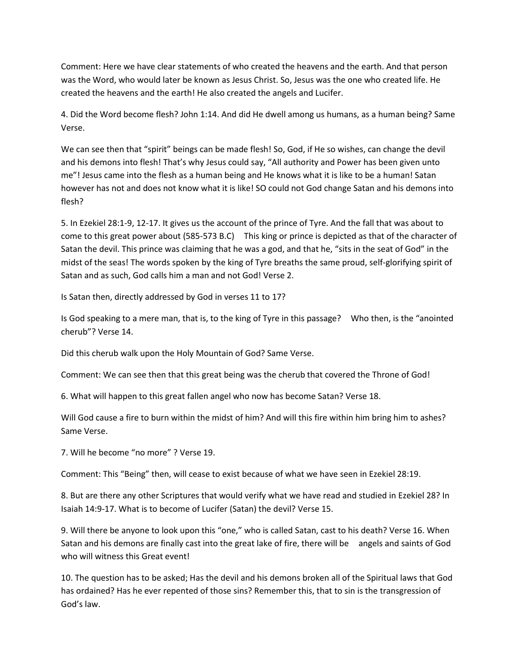Comment: Here we have clear statements of who created the heavens and the earth. And that person was the Word, who would later be known as Jesus Christ. So, Jesus was the one who created life. He created the heavens and the earth! He also created the angels and Lucifer.

4. Did the Word become flesh? John 1:14. And did He dwell among us humans, as a human being? Same Verse.

We can see then that "spirit" beings can be made flesh! So, God, if He so wishes, can change the devil and his demons into flesh! That's why Jesus could say, "All authority and Power has been given unto me"! Jesus came into the flesh as a human being and He knows what it is like to be a human! Satan however has not and does not know what it is like! SO could not God change Satan and his demons into flesh?

5. In Ezekiel 28:1-9, 12-17. It gives us the account of the prince of Tyre. And the fall that was about to come to this great power about (585-573 B.C) This king or prince is depicted as that of the character of Satan the devil. This prince was claiming that he was a god, and that he, "sits in the seat of God" in the midst of the seas! The words spoken by the king of Tyre breaths the same proud, self-glorifying spirit of Satan and as such, God calls him a man and not God! Verse 2.

Is Satan then, directly addressed by God in verses 11 to 17?

Is God speaking to a mere man, that is, to the king of Tyre in this passage? Who then, is the "anointed cherub"? Verse 14.

Did this cherub walk upon the Holy Mountain of God? Same Verse.

Comment: We can see then that this great being was the cherub that covered the Throne of God!

6. What will happen to this great fallen angel who now has become Satan? Verse 18.

Will God cause a fire to burn within the midst of him? And will this fire within him bring him to ashes? Same Verse.

7. Will he become "no more" ? Verse 19.

Comment: This "Being" then, will cease to exist because of what we have seen in Ezekiel 28:19.

8. But are there any other Scriptures that would verify what we have read and studied in Ezekiel 28? In Isaiah 14:9-17. What is to become of Lucifer (Satan) the devil? Verse 15.

9. Will there be anyone to look upon this "one," who is called Satan, cast to his death? Verse 16. When Satan and his demons are finally cast into the great lake of fire, there will be angels and saints of God who will witness this Great event!

10. The question has to be asked; Has the devil and his demons broken all of the Spiritual laws that God has ordained? Has he ever repented of those sins? Remember this, that to sin is the transgression of God's law.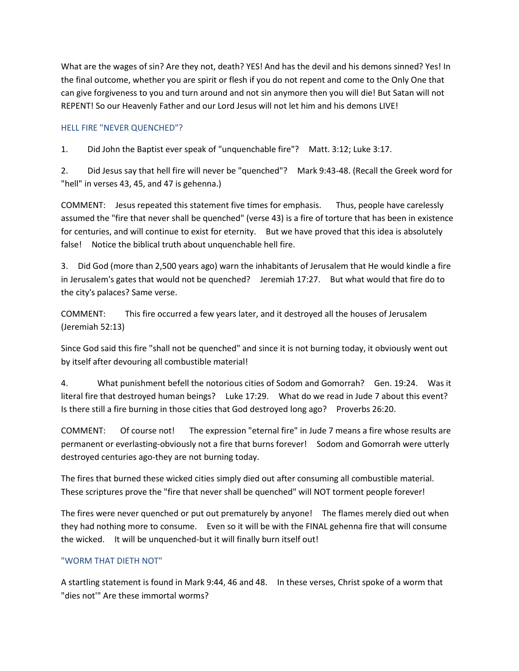What are the wages of sin? Are they not, death? YES! And has the devil and his demons sinned? Yes! In the final outcome, whether you are spirit or flesh if you do not repent and come to the Only One that can give forgiveness to you and turn around and not sin anymore then you will die! But Satan will not REPENT! So our Heavenly Father and our Lord Jesus will not let him and his demons LIVE!

## HELL FIRE "NEVER QUENCHED"?

1. Did John the Baptist ever speak of "unquenchable fire"? Matt. 3:12; Luke 3:17.

2. Did Jesus say that hell fire will never be "quenched"? Mark 9:43-48. (Recall the Greek word for "hell" in verses 43, 45, and 47 is gehenna.)

COMMENT: Jesus repeated this statement five times for emphasis. Thus, people have carelessly assumed the "fire that never shall be quenched" (verse 43) is a fire of torture that has been in existence for centuries, and will continue to exist for eternity. But we have proved that this idea is absolutely false! Notice the biblical truth about unquenchable hell fire.

3. Did God (more than 2,500 years ago) warn the inhabitants of Jerusalem that He would kindle a fire in Jerusalem's gates that would not be quenched? Jeremiah 17:27. But what would that fire do to the city's palaces? Same verse.

COMMENT: This fire occurred a few years later, and it destroyed all the houses of Jerusalem (Jeremiah 52:13)

Since God said this fire "shall not be quenched" and since it is not burning today, it obviously went out by itself after devouring all combustible material!

4. What punishment befell the notorious cities of Sodom and Gomorrah? Gen. 19:24. Was it literal fire that destroyed human beings? Luke 17:29. What do we read in Jude 7 about this event? Is there still a fire burning in those cities that God destroyed long ago? Proverbs 26:20.

COMMENT: Of course not! The expression "eternal fire" in Jude 7 means a fire whose results are permanent or everlasting-obviously not a fire that burns forever! Sodom and Gomorrah were utterly destroyed centuries ago-they are not burning today.

The fires that burned these wicked cities simply died out after consuming all combustible material. These scriptures prove the "fire that never shall be quenched" will NOT torment people forever!

The fires were never quenched or put out prematurely by anyone! The flames merely died out when they had nothing more to consume. Even so it will be with the FINAL gehenna fire that will consume the wicked. It will be unquenched-but it will finally burn itself out!

# "WORM THAT DIETH NOT"

A startling statement is found in Mark 9:44, 46 and 48. In these verses, Christ spoke of a worm that "dies not'" Are these immortal worms?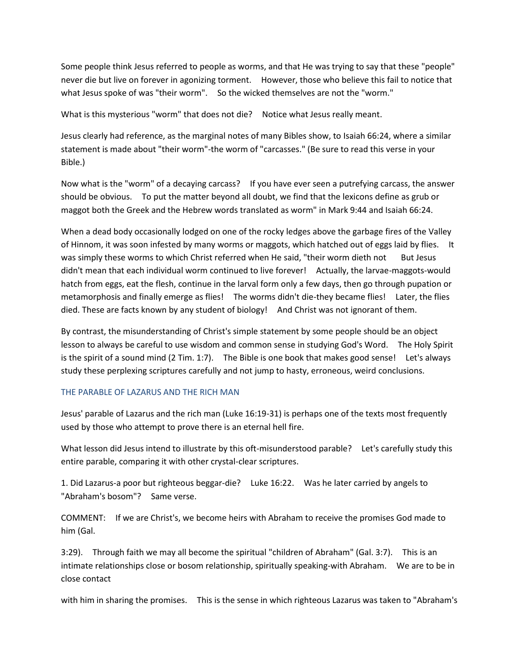Some people think Jesus referred to people as worms, and that He was trying to say that these "people" never die but live on forever in agonizing torment. However, those who believe this fail to notice that what Jesus spoke of was "their worm". So the wicked themselves are not the "worm."

What is this mysterious "worm" that does not die? Notice what Jesus really meant.

Jesus clearly had reference, as the marginal notes of many Bibles show, to Isaiah 66:24, where a similar statement is made about "their worm"-the worm of "carcasses." (Be sure to read this verse in your Bible.)

Now what is the "worm" of a decaying carcass? If you have ever seen a putrefying carcass, the answer should be obvious. To put the matter beyond all doubt, we find that the lexicons define as grub or maggot both the Greek and the Hebrew words translated as worm" in Mark 9:44 and Isaiah 66:24.

When a dead body occasionally lodged on one of the rocky ledges above the garbage fires of the Valley of Hinnom, it was soon infested by many worms or maggots, which hatched out of eggs laid by flies. It was simply these worms to which Christ referred when He said, "their worm dieth not But Jesus didn't mean that each individual worm continued to live forever! Actually, the larvae-maggots-would hatch from eggs, eat the flesh, continue in the larval form only a few days, then go through pupation or metamorphosis and finally emerge as flies! The worms didn't die-they became flies! Later, the flies died. These are facts known by any student of biology! And Christ was not ignorant of them.

By contrast, the misunderstanding of Christ's simple statement by some people should be an object lesson to always be careful to use wisdom and common sense in studying God's Word. The Holy Spirit is the spirit of a sound mind (2 Tim. 1:7). The Bible is one book that makes good sense! Let's always study these perplexing scriptures carefully and not jump to hasty, erroneous, weird conclusions.

#### THE PARABLE OF LAZARUS AND THE RICH MAN

Jesus' parable of Lazarus and the rich man (Luke 16:19-31) is perhaps one of the texts most frequently used by those who attempt to prove there is an eternal hell fire.

What lesson did Jesus intend to illustrate by this oft-misunderstood parable? Let's carefully study this entire parable, comparing it with other crystal-clear scriptures.

1. Did Lazarus-a poor but righteous beggar-die? Luke 16:22. Was he later carried by angels to "Abraham's bosom"? Same verse.

COMMENT: If we are Christ's, we become heirs with Abraham to receive the promises God made to him (Gal.

3:29). Through faith we may all become the spiritual "children of Abraham" (Gal. 3:7). This is an intimate relationships close or bosom relationship, spiritually speaking-with Abraham. We are to be in close contact

with him in sharing the promises. This is the sense in which righteous Lazarus was taken to "Abraham's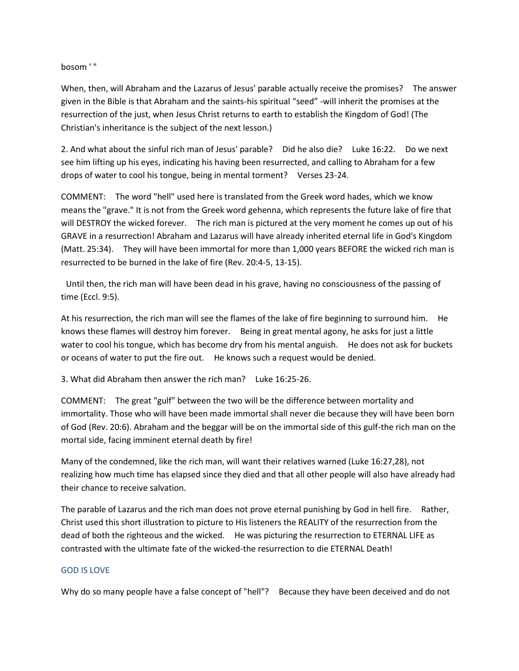bosom ' "

When, then, will Abraham and the Lazarus of Jesus' parable actually receive the promises? The answer given in the Bible is that Abraham and the saints-his spiritual "seed" -will inherit the promises at the resurrection of the just, when Jesus Christ returns to earth to establish the Kingdom of God! (The Christian's inheritance is the subject of the next lesson.)

2. And what about the sinful rich man of Jesus' parable? Did he also die? Luke 16:22. Do we next see him lifting up his eyes, indicating his having been resurrected, and calling to Abraham for a few drops of water to cool his tongue, being in mental torment? Verses 23-24.

COMMENT: The word "hell" used here is translated from the Greek word hades, which we know means the "grave." It is not from the Greek word gehenna, which represents the future lake of fire that will DESTROY the wicked forever. The rich man is pictured at the very moment he comes up out of his GRAVE in a resurrection! Abraham and Lazarus will have already inherited eternal life in God's Kingdom (Matt. 25:34). They will have been immortal for more than 1,000 years BEFORE the wicked rich man is resurrected to be burned in the lake of fire (Rev. 20:4-5, 13-15).

Until then, the rich man will have been dead in his grave, having no consciousness of the passing of time (Eccl. 9:5).

At his resurrection, the rich man will see the flames of the lake of fire beginning to surround him. He knows these flames will destroy him forever. Being in great mental agony, he asks for just a little water to cool his tongue, which has become dry from his mental anguish. He does not ask for buckets or oceans of water to put the fire out. He knows such a request would be denied.

3. What did Abraham then answer the rich man? Luke 16:25-26.

COMMENT: The great "gulf" between the two will be the difference between mortality and immortality. Those who will have been made immortal shall never die because they will have been born of God (Rev. 20:6). Abraham and the beggar will be on the immortal side of this gulf-the rich man on the mortal side, facing imminent eternal death by fire!

Many of the condemned, like the rich man, will want their relatives warned (Luke 16:27,28), not realizing how much time has elapsed since they died and that all other people will also have already had their chance to receive salvation.

The parable of Lazarus and the rich man does not prove eternal punishing by God in hell fire. Rather, Christ used this short illustration to picture to His listeners the REALITY of the resurrection from the dead of both the righteous and the wicked. He was picturing the resurrection to ETERNAL LIFE as contrasted with the ultimate fate of the wicked-the resurrection to die ETERNAL Death!

#### GOD IS LOVE

Why do so many people have a false concept of "hell"? Because they have been deceived and do not